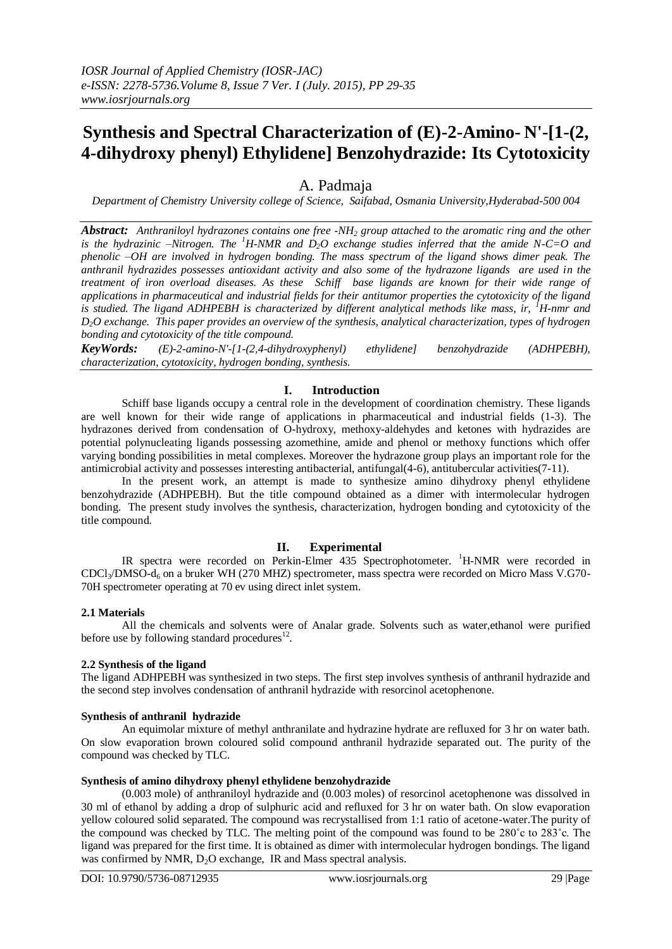# **Synthesis and Spectral Characterization of (E)-2-Amino- N'-[1-(2, 4-dihydroxy phenyl) Ethylidene] Benzohydrazide: Its Cytotoxicity**

# A. Padmaja

*Department of Chemistry University college of Science, Saifabad, Osmania University,Hyderabad-500 004*

*Abstract: Anthraniloyl hydrazones contains one free -NH<sup>2</sup> group attached to the aromatic ring and the other is the hydrazinic –Nitrogen. The <sup>1</sup>H-NMR and D2O exchange studies inferred that the amide N-C=O and phenolic –OH are involved in hydrogen bonding. The mass spectrum of the ligand shows dimer peak. The anthranil hydrazides possesses antioxidant activity and also some of the hydrazone ligands are used in the treatment of iron overload diseases. As these Schiff base ligands are known for their wide range of applications in pharmaceutical and industrial fields for their antitumor properties the cytotoxicity of the ligand is studied. The ligand ADHPEBH is characterized by different analytical methods like mass, ir, <sup>1</sup>H-nmr and D2O exchange. This paper provides an overview of the synthesis, analytical characterization, types of hydrogen bonding and cytotoxicity of the title compound.*

*KeyWords: (E)-2-amino-N'-[1-(2,4-dihydroxyphenyl) ethylidene] benzohydrazide (ADHPEBH), characterization, cytotoxicity, hydrogen bonding, synthesis.*

# **I. Introduction**

Schiff base ligands occupy a central role in the development of coordination chemistry. These ligands are well known for their wide range of applications in pharmaceutical and industrial fields (1-3). The hydrazones derived from condensation of O-hydroxy, methoxy-aldehydes and ketones with hydrazides are potential polynucleating ligands possessing azomethine, amide and phenol or methoxy functions which offer varying bonding possibilities in metal complexes. Moreover the hydrazone group plays an important role for the antimicrobial activity and possesses interesting antibacterial, antifungal(4-6), antitubercular activities(7-11).

In the present work, an attempt is made to synthesize amino dihydroxy phenyl ethylidene benzohydrazide (ADHPEBH). But the title compound obtained as a dimer with intermolecular hydrogen bonding. The present study involves the synthesis, characterization, hydrogen bonding and cytotoxicity of the title compound.

## **II. Experimental**

IR spectra were recorded on Perkin-Elmer 435 Spectrophotometer. <sup>1</sup>H-NMR were recorded in  $CDCl<sub>3</sub>/DMSO-d<sub>6</sub>$  on a bruker WH (270 MHZ) spectrometer, mass spectra were recorded on Micro Mass V.G70-70H spectrometer operating at 70 ev using direct inlet system.

#### **2.1 Materials**

All the chemicals and solvents were of Analar grade. Solvents such as water,ethanol were purified before use by following standard procedures $^{12}$ .

#### **2.2 Synthesis of the ligand**

The ligand ADHPEBH was synthesized in two steps. The first step involves synthesis of anthranil hydrazide and the second step involves condensation of anthranil hydrazide with resorcinol acetophenone.

#### **Synthesis of anthranil hydrazide**

An equimolar mixture of methyl anthranilate and hydrazine hydrate are refluxed for 3 hr on water bath. On slow evaporation brown coloured solid compound anthranil hydrazide separated out. The purity of the compound was checked by TLC.

#### **Synthesis of amino dihydroxy phenyl ethylidene benzohydrazide**

(0.003 mole) of anthraniloyl hydrazide and (0.003 moles) of resorcinol acetophenone was dissolved in 30 ml of ethanol by adding a drop of sulphuric acid and refluxed for 3 hr on water bath. On slow evaporation yellow coloured solid separated. The compound was recrystallised from 1:1 ratio of acetone-water.The purity of the compound was checked by TLC. The melting point of the compound was found to be 280˚c to 283˚c. The ligand was prepared for the first time. It is obtained as dimer with intermolecular hydrogen bondings. The ligand was confirmed by NMR,  $D_2O$  exchange, IR and Mass spectral analysis.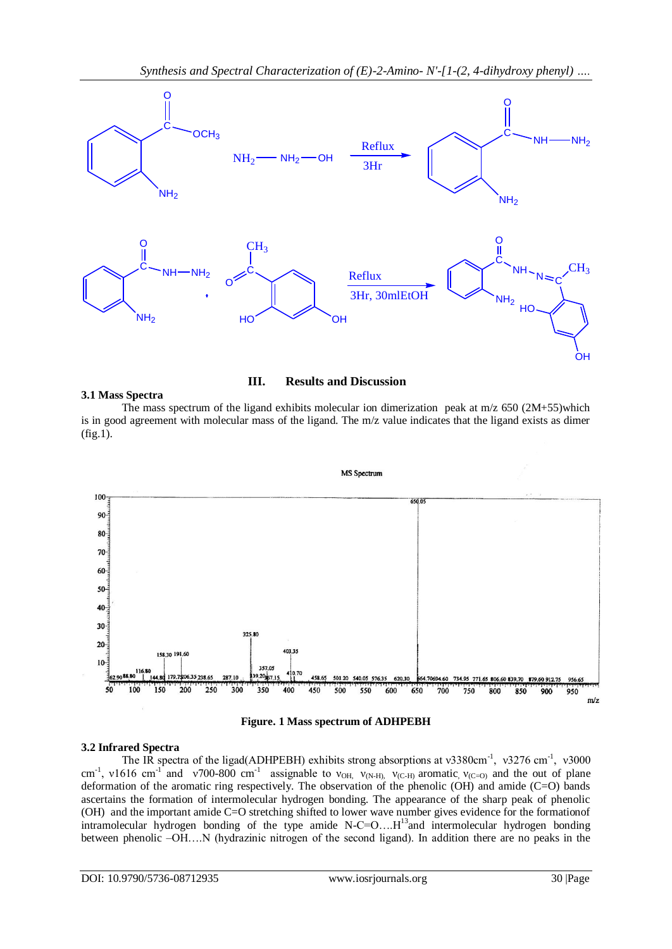

# **III. Results and Discussion**

**3.1 Mass Spectra**

The mass spectrum of the ligand exhibits molecular ion dimerization peak at  $m/z$  650 (2M+55)which is in good agreement with molecular mass of the ligand. The m/z value indicates that the ligand exists as dimer (fig.1).





## **3.2 Infrared Spectra**

The IR spectra of the ligad(ADHPEBH) exhibits strong absorptions at  $v3380 \text{cm}^{-1}$ ,  $v3276 \text{cm}^{-1}$ ,  $v3000$ cm<sup>-1</sup>, v1616 cm<sup>-1</sup> and v700-800 cm<sup>-1</sup> assignable to v<sub>OH,</sub> v<sub>(N-H)</sub>, v<sub>(C-H)</sub> aromatic, v<sub>(C=O)</sub> and the out of plane deformation of the aromatic ring respectively. The observation of the phenolic (OH) and amide (C=O) bands ascertains the formation of intermolecular hydrogen bonding. The appearance of the sharp peak of phenolic (OH) and the important amide C=O stretching shifted to lower wave number gives evidence for the formationof intramolecular hydrogen bonding of the type amide  $N-C=O$ .... $H^{13}$  and intermolecular hydrogen bonding between phenolic –OH….N (hydrazinic nitrogen of the second ligand). In addition there are no peaks in the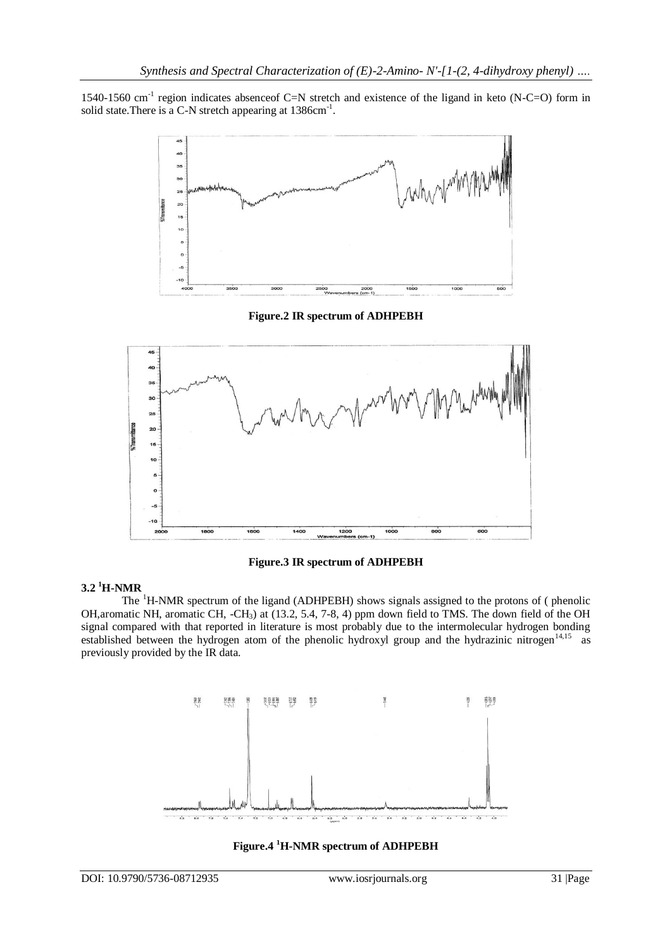1540-1560 cm<sup>-1</sup> region indicates absenceof C=N stretch and existence of the ligand in keto (N-C=O) form in solid state. There is a C-N stretch appearing at  $1386 \text{cm}^{-1}$ .



**Figure.2 IR spectrum of ADHPEBH**



**Figure.3 IR spectrum of ADHPEBH**

# **3.2 <sup>1</sup>H-NMR**

The <sup>1</sup>H-NMR spectrum of the ligand (ADHPEBH) shows signals assigned to the protons of ( phenolic OH,aromatic NH, aromatic CH, -CH3) at (13.2, 5.4, 7-8, 4) ppm down field to TMS. The down field of the OH signal compared with that reported in literature is most probably due to the intermolecular hydrogen bonding established between the hydrogen atom of the phenolic hydroxyl group and the hydrazinic nitrogen<sup>14,15</sup> as previously provided by the IR data.



**Figure.4 <sup>1</sup>H-NMR spectrum of ADHPEBH**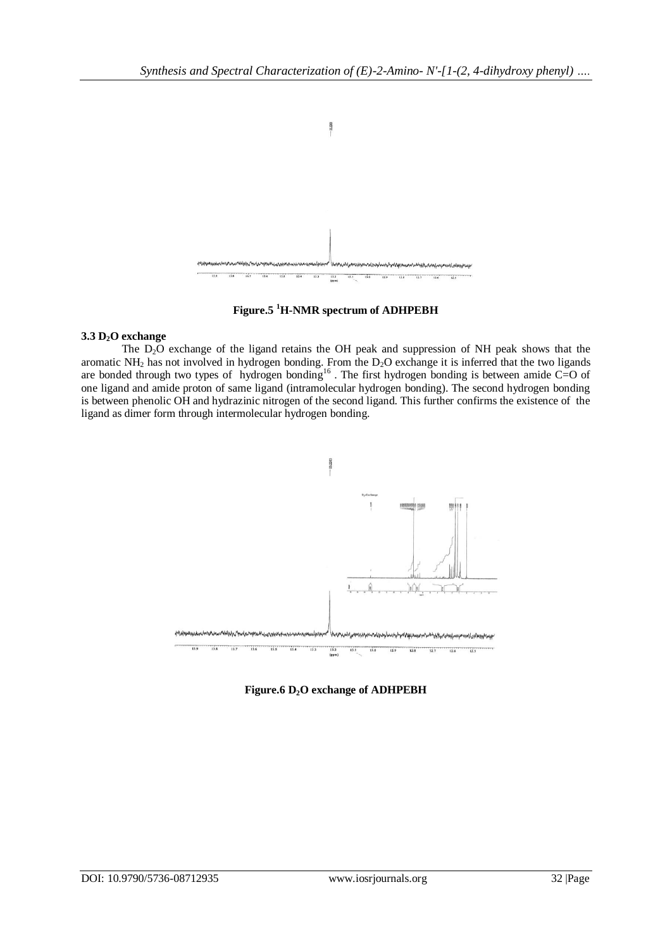

**Figure.5 <sup>1</sup>H-NMR spectrum of ADHPEBH**

## **3.3 D2O exchange**

The  $D_2O$  exchange of the ligand retains the OH peak and suppression of NH peak shows that the aromatic NH<sub>2</sub> has not involved in hydrogen bonding. From the  $D_2O$  exchange it is inferred that the two ligands are bonded through two types of hydrogen bonding<sup>16</sup>. The first hydrogen bonding is between amide C=O of one ligand and amide proton of same ligand (intramolecular hydrogen bonding). The second hydrogen bonding is between phenolic OH and hydrazinic nitrogen of the second ligand. This further confirms the existence of the ligand as dimer form through intermolecular hydrogen bonding.



**Figure.6 D2O exchange of ADHPEBH**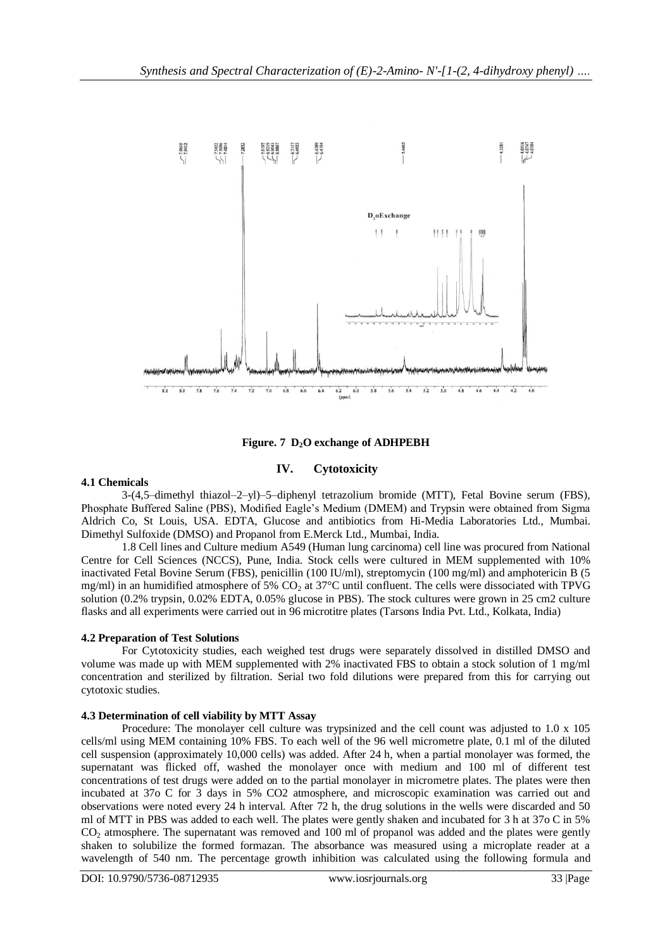

**Figure. 7 D2O exchange of ADHPEBH**

# **IV. Cytotoxicity**

## **4.1 Chemicals**

3-(4,5–dimethyl thiazol–2–yl)–5–diphenyl tetrazolium bromide (MTT), Fetal Bovine serum (FBS), Phosphate Buffered Saline (PBS), Modified Eagle's Medium (DMEM) and Trypsin were obtained from Sigma Aldrich Co, St Louis, USA. EDTA, Glucose and antibiotics from Hi-Media Laboratories Ltd., Mumbai. Dimethyl Sulfoxide (DMSO) and Propanol from E.Merck Ltd., Mumbai, India.

1.8 Cell lines and Culture medium A549 (Human lung carcinoma) cell line was procured from National Centre for Cell Sciences (NCCS), Pune, India. Stock cells were cultured in MEM supplemented with 10% inactivated Fetal Bovine Serum (FBS), penicillin (100 IU/ml), streptomycin (100 mg/ml) and amphotericin B (5 mg/ml) in an humidified atmosphere of 5% CO<sub>2</sub> at 37°C until confluent. The cells were dissociated with TPVG solution (0.2% trypsin, 0.02% EDTA, 0.05% glucose in PBS). The stock cultures were grown in 25 cm2 culture flasks and all experiments were carried out in 96 microtitre plates (Tarsons India Pvt. Ltd., Kolkata, India)

## **4.2 Preparation of Test Solutions**

For Cytotoxicity studies, each weighed test drugs were separately dissolved in distilled DMSO and volume was made up with MEM supplemented with 2% inactivated FBS to obtain a stock solution of 1 mg/ml concentration and sterilized by filtration. Serial two fold dilutions were prepared from this for carrying out cytotoxic studies.

# **4.3 Determination of cell viability by MTT Assay**

Procedure: The monolayer cell culture was trypsinized and the cell count was adjusted to 1.0 x 105 cells/ml using MEM containing 10% FBS. To each well of the 96 well micrometre plate, 0.1 ml of the diluted cell suspension (approximately 10,000 cells) was added. After 24 h, when a partial monolayer was formed, the supernatant was flicked off, washed the monolayer once with medium and 100 ml of different test concentrations of test drugs were added on to the partial monolayer in micrometre plates. The plates were then incubated at 37o C for 3 days in 5% CO2 atmosphere, and microscopic examination was carried out and observations were noted every 24 h interval. After 72 h, the drug solutions in the wells were discarded and 50 ml of MTT in PBS was added to each well. The plates were gently shaken and incubated for 3 h at 37o C in 5% CO<sup>2</sup> atmosphere. The supernatant was removed and 100 ml of propanol was added and the plates were gently shaken to solubilize the formed formazan. The absorbance was measured using a microplate reader at a wavelength of 540 nm. The percentage growth inhibition was calculated using the following formula and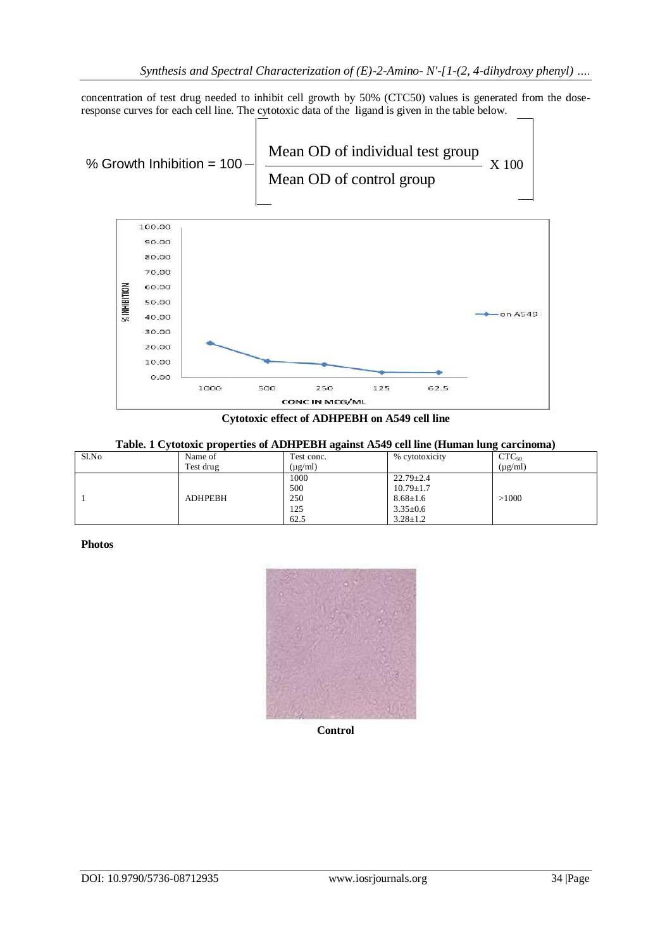concentration of test drug needed to inhibit cell growth by 50% (CTC50) values is generated from the doseresponse curves for each cell line. The cytotoxic data of the ligand is given in the table below.



**Cytotoxic effect of ADHPEBH on A549 cell line**

**Table. 1 Cytotoxic properties of ADHPEBH against A549 cell line (Human lung carcinoma)**

| Sl.No | Name of        | Test conc.   | % cytotoxicity  | $CTC_{50}$   |
|-------|----------------|--------------|-----------------|--------------|
|       | Test drug      | $(\mu g/ml)$ |                 | $(\mu g/ml)$ |
|       |                | 1000         | $22.79 \pm 2.4$ |              |
|       |                | 500          | $10.79 \pm 1.7$ |              |
|       | <b>ADHPEBH</b> | 250          | $8.68 \pm 1.6$  | >1000        |
|       |                | 125          | $3.35 \pm 0.6$  |              |
|       |                | 62.5         | $3.28 \pm 1.2$  |              |

### **Photos**



**Control**